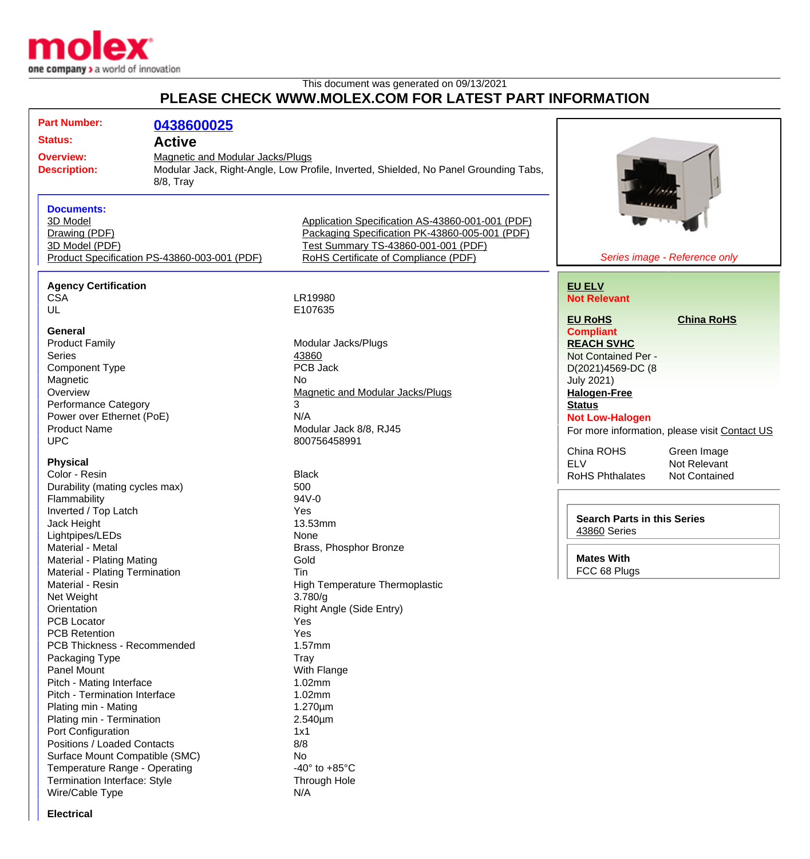

This document was generated on 09/13/2021

## **PLEASE CHECK WWW.MOLEX.COM FOR LATEST PART INFORMATION**

| <b>Part Number:</b>                                                                                              | 0438600025                                                                                                                                   |                                                                                                                                                                                   |                                                |  |
|------------------------------------------------------------------------------------------------------------------|----------------------------------------------------------------------------------------------------------------------------------------------|-----------------------------------------------------------------------------------------------------------------------------------------------------------------------------------|------------------------------------------------|--|
| <b>Status:</b>                                                                                                   | <b>Active</b>                                                                                                                                |                                                                                                                                                                                   |                                                |  |
| <b>Overview:</b><br><b>Description:</b>                                                                          | <b>Magnetic and Modular Jacks/Plugs</b><br>Modular Jack, Right-Angle, Low Profile, Inverted, Shielded, No Panel Grounding Tabs,<br>8/8, Tray |                                                                                                                                                                                   |                                                |  |
| <b>Documents:</b><br>3D Model<br>Drawing (PDF)<br>3D Model (PDF)<br>Product Specification PS-43860-003-001 (PDF) |                                                                                                                                              | Application Specification AS-43860-001-001 (PDF)<br>Packaging Specification PK-43860-005-001 (PDF)<br>Test Summary TS-43860-001-001 (PDF)<br>RoHS Certificate of Compliance (PDF) | Series image - Reference only                  |  |
| <b>Agency Certification</b>                                                                                      |                                                                                                                                              |                                                                                                                                                                                   |                                                |  |
| <b>CSA</b><br>UL                                                                                                 |                                                                                                                                              | LR19980<br>E107635                                                                                                                                                                | <b>EU ELV</b><br><b>Not Relevant</b>           |  |
|                                                                                                                  |                                                                                                                                              |                                                                                                                                                                                   | <b>EU RoHS</b><br><b>China RoHS</b>            |  |
| <b>General</b>                                                                                                   |                                                                                                                                              |                                                                                                                                                                                   | <b>Compliant</b>                               |  |
| <b>Product Family</b>                                                                                            |                                                                                                                                              | Modular Jacks/Plugs                                                                                                                                                               | <b>REACH SVHC</b>                              |  |
| <b>Series</b>                                                                                                    |                                                                                                                                              | 43860                                                                                                                                                                             | Not Contained Per -                            |  |
| <b>Component Type</b>                                                                                            |                                                                                                                                              | PCB Jack                                                                                                                                                                          | D(2021)4569-DC (8                              |  |
| Magnetic                                                                                                         |                                                                                                                                              | No                                                                                                                                                                                | <b>July 2021)</b>                              |  |
| Overview                                                                                                         |                                                                                                                                              | <b>Magnetic and Modular Jacks/Plugs</b>                                                                                                                                           | <b>Halogen-Free</b>                            |  |
| <b>Performance Category</b>                                                                                      |                                                                                                                                              | 3                                                                                                                                                                                 | <b>Status</b>                                  |  |
| Power over Ethernet (PoE)                                                                                        |                                                                                                                                              | N/A                                                                                                                                                                               | <b>Not Low-Halogen</b>                         |  |
| <b>Product Name</b>                                                                                              |                                                                                                                                              | Modular Jack 8/8, RJ45                                                                                                                                                            | For more information, please visit Contact US  |  |
| <b>UPC</b>                                                                                                       |                                                                                                                                              | 800756458991                                                                                                                                                                      | China ROHS<br>Green Image                      |  |
| <b>Physical</b>                                                                                                  |                                                                                                                                              |                                                                                                                                                                                   | <b>ELV</b><br>Not Relevant                     |  |
| Color - Resin                                                                                                    |                                                                                                                                              | <b>Black</b>                                                                                                                                                                      | <b>RoHS Phthalates</b><br><b>Not Contained</b> |  |
| Durability (mating cycles max)                                                                                   |                                                                                                                                              | 500                                                                                                                                                                               |                                                |  |
| Flammability                                                                                                     |                                                                                                                                              | 94V-0                                                                                                                                                                             |                                                |  |
| Inverted / Top Latch                                                                                             |                                                                                                                                              | Yes                                                                                                                                                                               |                                                |  |
| Jack Height                                                                                                      |                                                                                                                                              | 13.53mm                                                                                                                                                                           | <b>Search Parts in this Series</b>             |  |
| Lightpipes/LEDs                                                                                                  |                                                                                                                                              | None                                                                                                                                                                              | 43860 Series                                   |  |
| Material - Metal                                                                                                 |                                                                                                                                              | Brass, Phosphor Bronze                                                                                                                                                            |                                                |  |
| Material - Plating Mating                                                                                        |                                                                                                                                              | Gold                                                                                                                                                                              | <b>Mates With</b>                              |  |
| Material - Plating Termination                                                                                   |                                                                                                                                              | Tin                                                                                                                                                                               | FCC 68 Plugs                                   |  |
| Material - Resin                                                                                                 |                                                                                                                                              | High Temperature Thermoplastic                                                                                                                                                    |                                                |  |
| Net Weight                                                                                                       |                                                                                                                                              | 3.780/g                                                                                                                                                                           |                                                |  |
| Orientation                                                                                                      |                                                                                                                                              | Right Angle (Side Entry)                                                                                                                                                          |                                                |  |
| <b>PCB Locator</b>                                                                                               |                                                                                                                                              | Yes                                                                                                                                                                               |                                                |  |
| <b>PCB Retention</b><br>PCB Thickness - Recommended                                                              |                                                                                                                                              | Yes                                                                                                                                                                               |                                                |  |
|                                                                                                                  |                                                                                                                                              | 1.57mm                                                                                                                                                                            |                                                |  |
| Packaging Type<br>Panel Mount                                                                                    |                                                                                                                                              | Tray<br>With Flange                                                                                                                                                               |                                                |  |
| Pitch - Mating Interface                                                                                         |                                                                                                                                              | 1.02mm                                                                                                                                                                            |                                                |  |
| Pitch - Termination Interface                                                                                    |                                                                                                                                              | 1.02mm                                                                                                                                                                            |                                                |  |
| Plating min - Mating                                                                                             |                                                                                                                                              | $1.270 \mu m$                                                                                                                                                                     |                                                |  |
| Plating min - Termination                                                                                        |                                                                                                                                              | $2.540 \mu m$                                                                                                                                                                     |                                                |  |
| Port Configuration                                                                                               |                                                                                                                                              | 1x1                                                                                                                                                                               |                                                |  |
| Positions / Loaded Contacts                                                                                      |                                                                                                                                              | 8/8                                                                                                                                                                               |                                                |  |
| Surface Mount Compatible (SMC)                                                                                   |                                                                                                                                              | No.                                                                                                                                                                               |                                                |  |
| Temperature Range - Operating                                                                                    |                                                                                                                                              | -40 $\degree$ to +85 $\degree$ C                                                                                                                                                  |                                                |  |
| Termination Interface: Style                                                                                     |                                                                                                                                              | Through Hole                                                                                                                                                                      |                                                |  |
| Wire/Cable Type                                                                                                  |                                                                                                                                              | N/A                                                                                                                                                                               |                                                |  |

**Electrical**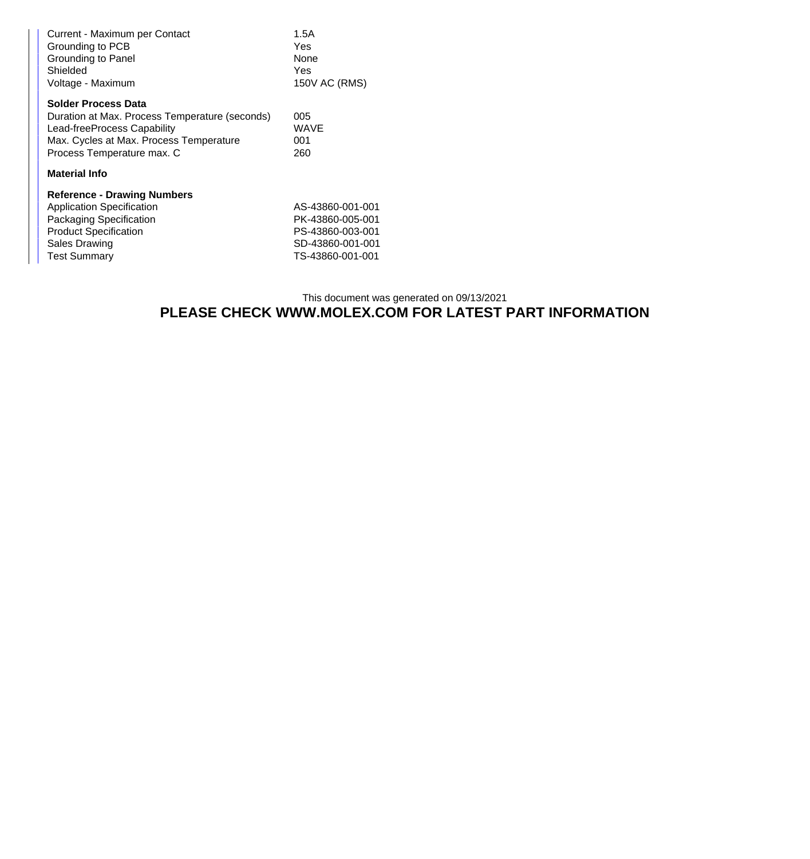| Current - Maximum per Contact<br>Grounding to PCB<br>Grounding to Panel<br>Shielded<br>Voltage - Maximum                                                                         | 1.5A<br>Yes<br><b>None</b><br>Yes<br>150V AC (RMS)                                               |  |  |
|----------------------------------------------------------------------------------------------------------------------------------------------------------------------------------|--------------------------------------------------------------------------------------------------|--|--|
| Solder Process Data<br>Duration at Max. Process Temperature (seconds)<br>Lead-freeProcess Capability<br>Max. Cycles at Max. Process Temperature<br>Process Temperature max. C    | 005<br>WAVE<br>001<br>260                                                                        |  |  |
| <b>Material Info</b>                                                                                                                                                             |                                                                                                  |  |  |
| <b>Reference - Drawing Numbers</b><br><b>Application Specification</b><br>Packaging Specification<br><b>Product Specification</b><br><b>Sales Drawing</b><br><b>Test Summary</b> | AS-43860-001-001<br>PK-43860-005-001<br>PS-43860-003-001<br>SD-43860-001-001<br>TS-43860-001-001 |  |  |

## This document was generated on 09/13/2021 **PLEASE CHECK WWW.MOLEX.COM FOR LATEST PART INFORMATION**